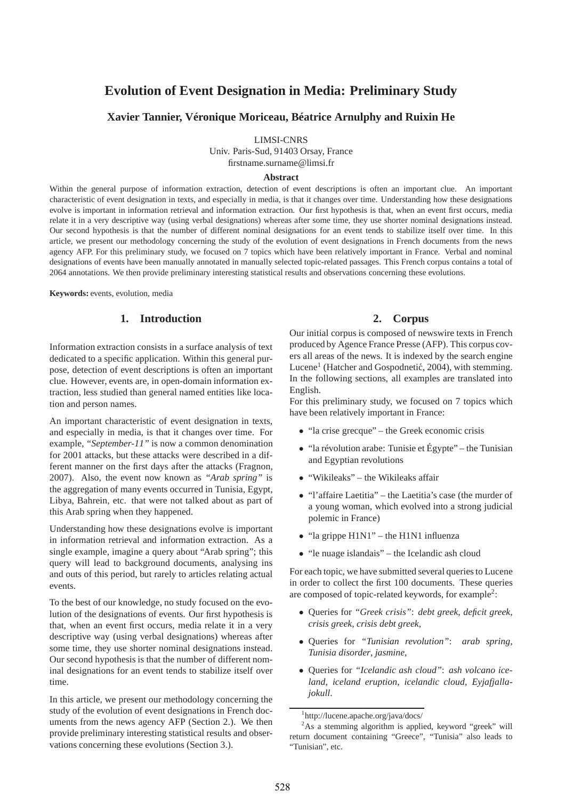# **Evolution of Event Designation in Media: Preliminary Study**

# **Xavier Tannier, Véronique Moriceau, Béatrice Arnulphy and Ruixin He**

LIMSI-CNRS

Univ. Paris-Sud, 91403 Orsay, France firstname.surname@limsi.fr

#### **Abstract**

Within the general purpose of information extraction, detection of event descriptions is often an important clue. An important characteristic of event designation in texts, and especially in media, is that it changes over time. Understanding how these designations evolve is important in information retrieval and information extraction. Our first hypothesis is that, when an event first occurs, media relate it in a very descriptive way (using verbal designations) whereas after some time, they use shorter nominal designations instead. Our second hypothesis is that the number of different nominal designations for an event tends to stabilize itself over time. In this article, we present our methodology concerning the study of the evolution of event designations in French documents from the news agency AFP. For this preliminary study, we focused on 7 topics which have been relatively important in France. Verbal and nominal designations of events have been manually annotated in manually selected topic-related passages. This French corpus contains a total of 2064 annotations. We then provide preliminary interesting statistical results and observations concerning these evolutions.

**Keywords:** events, evolution, media

# **1. Introduction**

Information extraction consists in a surface analysis of text dedicated to a specific application. Within this general purpose, detection of event descriptions is often an important clue. However, events are, in open-domain information extraction, less studied than general named entities like location and person names.

An important characteristic of event designation in texts, and especially in media, is that it changes over time. For example, *"September-11"* is now a common denomination for 2001 attacks, but these attacks were described in a different manner on the first days after the attacks (Fragnon, 2007). Also, the event now known as *"Arab spring"* is the aggregation of many events occurred in Tunisia, Egypt, Libya, Bahrein, etc. that were not talked about as part of this Arab spring when they happened.

Understanding how these designations evolve is important in information retrieval and information extraction. As a single example, imagine a query about "Arab spring"; this query will lead to background documents, analysing ins and outs of this period, but rarely to articles relating actual events.

To the best of our knowledge, no study focused on the evolution of the designations of events. Our first hypothesis is that, when an event first occurs, media relate it in a very descriptive way (using verbal designations) whereas after some time, they use shorter nominal designations instead. Our second hypothesis is that the number of different nominal designations for an event tends to stabilize itself over time.

In this article, we present our methodology concerning the study of the evolution of event designations in French documents from the news agency AFP (Section 2.). We then provide preliminary interesting statistical results and observations concerning these evolutions (Section 3.).

#### **2. Corpus**

Our initial corpus is composed of newswire texts in French produced by Agence France Presse (AFP). This corpus covers all areas of the news. It is indexed by the search engine Lucene<sup>1</sup> (Hatcher and Gospodnetić, 2004), with stemming. In the following sections, all examples are translated into English.

For this preliminary study, we focused on 7 topics which have been relatively important in France:

- "la crise grecque" the Greek economic crisis
- "la révolution arabe: Tunisie et Égypte" the Tunisian and Egyptian revolutions
- "Wikileaks" the Wikileaks affair
- "l'affaire Laetitia" the Laetitia's case (the murder of a young woman, which evolved into a strong judicial polemic in France)
- "la grippe H1N1" the H1N1 influenza
- "le nuage islandais" the Icelandic ash cloud

For each topic, we have submitted several queries to Lucene in order to collect the first 100 documents. These queries are composed of topic-related keywords, for example<sup>2</sup>:

- Queries for *"Greek crisis"*: *debt greek*, *deficit greek*, *crisis greek*, *crisis debt greek*,
- Queries for *"Tunisian revolution"*: *arab spring*, *Tunisia disorder*, *jasmine*,
- Queries for *"Icelandic ash cloud"*: *ash volcano iceland*, *iceland eruption*, *icelandic cloud*, *Eyjafjallajokull*.

<sup>1</sup> http://lucene.apache.org/java/docs/

 $2$ As a stemming algorithm is applied, keyword "greek" will return document containing "Greece", "Tunisia" also leads to "Tunisian", etc.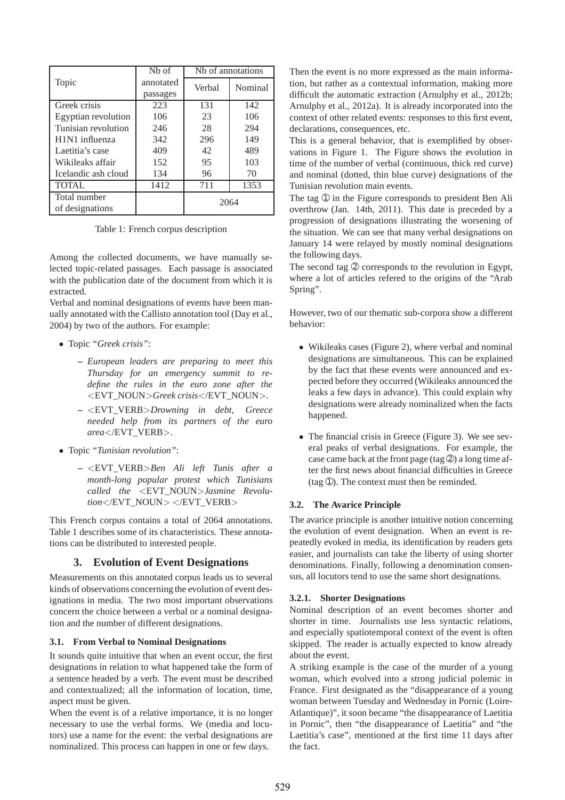|                                         | N <sub>b</sub> of | Nh of annotations |         |
|-----------------------------------------|-------------------|-------------------|---------|
| Topic                                   | annotated         | Verbal            | Nominal |
|                                         | passages          |                   |         |
| Greek crisis                            | 223               | 131               | 142     |
| Egyptian revolution                     | 106               | 23                | 106     |
| Tunisian revolution                     | 246               | 28                | 294     |
| H <sub>1</sub> N <sub>1</sub> influenza | 342               | 296               | 149     |
| Laetitia's case                         | 409               | 42                | 489     |
| Wikileaks affair                        | 152               | 95                | 103     |
| Icelandic ash cloud                     | 134               | 96                | 70      |
| <b>TOTAL</b>                            | 1412              | 711               | 1353    |
| Total number                            |                   | 2064              |         |
| of designations                         |                   |                   |         |

Table 1: French corpus description

Among the collected documents, we have manually selected topic-related passages. Each passage is associated with the publication date of the document from which it is extracted.

Verbal and nominal designations of events have been manually annotated with the Callisto annotation tool (Day et al., 2004) by two of the authors. For example:

- Topic *"Greek crisis"*:
	- **–** *European leaders are preparing to meet this Thursday for an emergency summit to redefine the rules in the euro zone after the* <EVT\_NOUN>*Greek crisis*</EVT\_NOUN>.
	- **–** <EVT\_VERB>*Drowning in debt, Greece needed help from its partners of the euro area*</EVT\_VERB>.
- Topic *"Tunisian revolution"*:
	- **–** <EVT\_VERB>*Ben Ali left Tunis after a month-long popular protest which Tunisians called the* <EVT\_NOUN>*Jasmine Revolution*</EVT\_NOUN> </EVT\_VERB>

This French corpus contains a total of 2064 annotations. Table 1 describes some of its characteristics. These annotations can be distributed to interested people.

### **3. Evolution of Event Designations**

Measurements on this annotated corpus leads us to several kinds of observations concerning the evolution of event designations in media. The two most important observations concern the choice between a verbal or a nominal designation and the number of different designations.

### **3.1. From Verbal to Nominal Designations**

It sounds quite intuitive that when an event occur, the first designations in relation to what happened take the form of a sentence headed by a verb. The event must be described and contextualized; all the information of location, time, aspect must be given.

When the event is of a relative importance, it is no longer necessary to use the verbal forms. We (media and locutors) use a name for the event: the verbal designations are nominalized. This process can happen in one or few days.

Then the event is no more expressed as the main information, but rather as a contextual information, making more difficult the automatic extraction (Arnulphy et al., 2012b; Arnulphy et al., 2012a). It is already incorporated into the context of other related events: responses to this first event, declarations, consequences, etc.

This is a general behavior, that is exemplified by observations in Figure 1. The Figure shows the evolution in time of the number of verbal (continuous, thick red curve) and nominal (dotted, thin blue curve) designations of the Tunisian revolution main events.

The tag  $\odot$  in the Figure corresponds to president Ben Ali overthrow (Jan. 14th, 2011). This date is preceded by a progression of designations illustrating the worsening of the situation. We can see that many verbal designations on January 14 were relayed by mostly nominal designations the following days.

The second tag  $\circledcirc$  corresponds to the revolution in Egypt, where a lot of articles refered to the origins of the "Arab Spring".

However, two of our thematic sub-corpora show a different behavior:

- Wikileaks cases (Figure 2), where verbal and nominal designations are simultaneous. This can be explained by the fact that these events were announced and expected before they occurred (Wikileaks announced the leaks a few days in advance). This could explain why designations were already nominalized when the facts happened.
- The financial crisis in Greece (Figure 3). We see several peaks of verbal designations. For example, the case came back at the front page (tag  $\circled{2}$ ) a long time after the first news about financial difficulties in Greece (tag ➀). The context must then be reminded.

### **3.2. The Avarice Principle**

The avarice principle is another intuitive notion concerning the evolution of event designation. When an event is repeatedly evoked in media, its identification by readers gets easier, and journalists can take the liberty of using shorter denominations. Finally, following a denomination consensus, all locutors tend to use the same short designations.

#### **3.2.1. Shorter Designations**

Nominal description of an event becomes shorter and shorter in time. Journalists use less syntactic relations, and especially spatiotemporal context of the event is often skipped. The reader is actually expected to know already about the event.

A striking example is the case of the murder of a young woman, which evolved into a strong judicial polemic in France. First designated as the "disappearance of a young woman between Tuesday and Wednesday in Pornic (Loire-Atlantique)", it soon became "the disappearance of Laetitia in Pornic", then "the disappearance of Laetitia" and "the Laetitia's case", mentioned at the first time 11 days after the fact.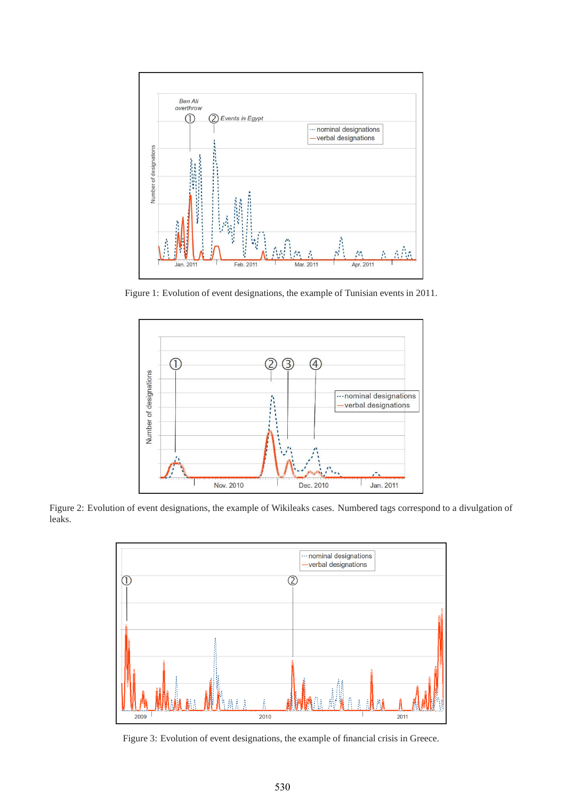

Figure 1: Evolution of event designations, the example of Tunisian events in 2011.



Figure 2: Evolution of event designations, the example of Wikileaks cases. Numbered tags correspond to a divulgation of leaks.



Figure 3: Evolution of event designations, the example of financial crisis in Greece.